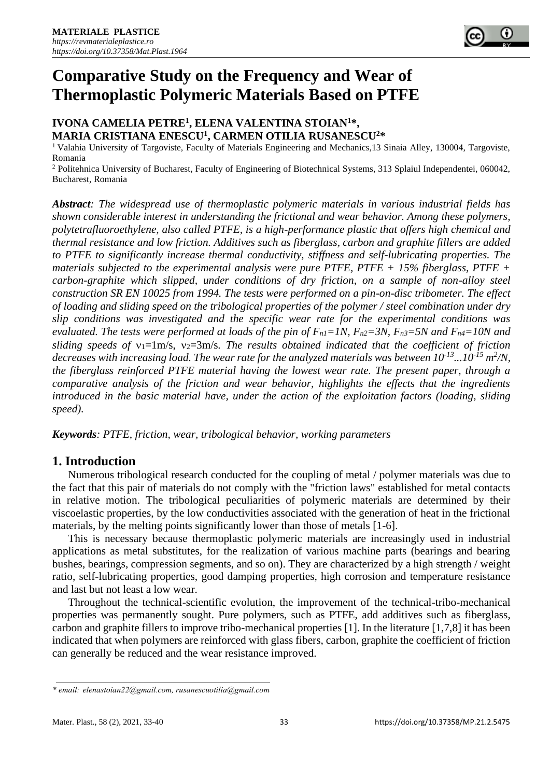# **Comparative Study on the Frequency and Wear of Thermoplastic Polymeric Materials Based on PTFE**

### **IVONA CAMELIA PETRE<sup>1</sup> , ELENA VALENTINA STOIAN<sup>1</sup>\*, MARIA CRISTIANA ENESCU<sup>1</sup> , CARMEN OTILIA RUSANESCU<sup>2</sup>\***

<sup>1</sup> Valahia University of Targoviste, Faculty of Materials Engineering and Mechanics, 13 Sinaia Alley, 130004, Targoviste, Romania

<sup>2</sup> Politehnica University of Bucharest, Faculty of Engineering of Biotechnical Systems, 313 Splaiul Independentei, 060042, Bucharest, Romania

*Abstract: The widespread use of thermoplastic polymeric materials in various industrial fields has shown considerable interest in understanding the frictional and wear behavior. Among these polymers, polytetrafluoroethylene, also called PTFE, is a high-performance plastic that offers high chemical and thermal resistance and low friction. Additives such as fiberglass, carbon and graphite fillers are added to PTFE to significantly increase thermal conductivity, stiffness and self-lubricating properties. The materials subjected to the experimental analysis were pure PTFE, PTFE + 15% fiberglass, PTFE + carbon-graphite which slipped, under conditions of dry friction, on a sample of non-alloy steel construction SR EN 10025 from 1994. The tests were performed on a pin-on-disc tribometer. The effect of loading and sliding speed on the tribological properties of the polymer / steel combination under dry slip conditions was investigated and the specific wear rate for the experimental conditions was evaluated. The tests were performed at loads of the pin of*  $F_{nl} = 1N$ ,  $F_{n2} = 3N$ ,  $F_{n3} = 5N$  and  $F_{n4} = 10N$  and *sliding speeds of*  $v_1 = 1$ m/s,  $v_2 = 3$ m/s. The results obtained indicated that the coefficient of friction *decreases with increasing load. The wear rate for the analyzed materials was between 10-13...10-15 m 2 /N, the fiberglass reinforced PTFE material having the lowest wear rate. The present paper, through a comparative analysis of the friction and wear behavior, highlights the effects that the ingredients introduced in the basic material have, under the action of the exploitation factors (loading, sliding speed).*

*Keywords: PTFE, friction, wear, tribological behavior, working parameters* 

## **1. Introduction**

Numerous tribological research conducted for the coupling of metal / polymer materials was due to the fact that this pair of materials do not comply with the "friction laws" established for metal contacts in relative motion. The tribological peculiarities of polymeric materials are determined by their viscoelastic properties, by the low conductivities associated with the generation of heat in the frictional materials, by the melting points significantly lower than those of metals [1-6].

This is necessary because thermoplastic polymeric materials are increasingly used in industrial applications as metal substitutes, for the realization of various machine parts (bearings and bearing bushes, bearings, compression segments, and so on). They are characterized by a high strength / weight ratio, self-lubricating properties, good damping properties, high corrosion and temperature resistance and last but not least a low wear.

Throughout the technical-scientific evolution, the improvement of the technical-tribo-mechanical properties was permanently sought. Pure polymers, such as PTFE, add additives such as fiberglass, carbon and graphite fillers to improve tribo-mechanical properties [1]. In the literature [1,7,8] it has been indicated that when polymers are reinforced with glass fibers, carbon, graphite the coefficient of friction can generally be reduced and the wear resistance improved.

*<sup>\*</sup> email: elenastoian22@gmail.com, rusanescuotilia@gmail.com*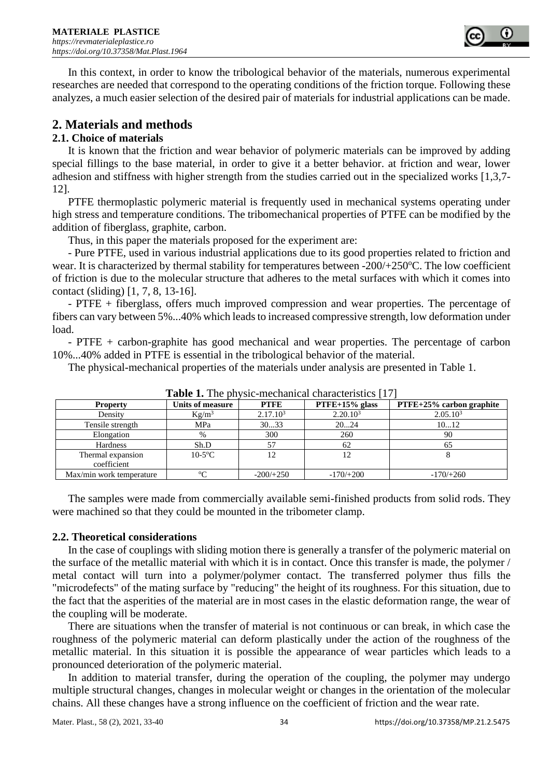

In this context, in order to know the tribological behavior of the materials, numerous experimental researches are needed that correspond to the operating conditions of the friction torque. Following these analyzes, a much easier selection of the desired pair of materials for industrial applications can be made.

## **2. Materials and methods**

#### **2.1. Choice of materials**

It is known that the friction and wear behavior of polymeric materials can be improved by adding special fillings to the base material, in order to give it a better behavior. at friction and wear, lower adhesion and stiffness with higher strength from the studies carried out in the specialized works [1,3,7- 12].

PTFE thermoplastic polymeric material is frequently used in mechanical systems operating under high stress and temperature conditions. The tribomechanical properties of PTFE can be modified by the addition of fiberglass, graphite, carbon.

Thus, in this paper the materials proposed for the experiment are:

- Pure PTFE, used in various industrial applications due to its good properties related to friction and wear. It is characterized by thermal stability for temperatures between -200/+250°C. The low coefficient of friction is due to the molecular structure that adheres to the metal surfaces with which it comes into contact (sliding) [1, 7, 8, 13-16].

- PTFE + fiberglass, offers much improved compression and wear properties. The percentage of fibers can vary between 5%...40% which leads to increased compressive strength, low deformation under load.

- PTFE + carbon-graphite has good mechanical and wear properties. The percentage of carbon 10%...40% added in PTFE is essential in the tribological behavior of the material.

The physical-mechanical properties of the materials under analysis are presented in Table 1.

| <b>Table 1.</b> The physic-mechanical characteristics [17] |                  |                      |                      |                             |
|------------------------------------------------------------|------------------|----------------------|----------------------|-----------------------------|
| <b>Property</b>                                            | Units of measure | <b>PTFE</b>          | $PTFE+15%$ glass     | $PTFE+25\%$ carbon graphite |
| Density                                                    | $Kg/m^3$         | 2.17.10 <sup>3</sup> | 2.20.10 <sup>3</sup> | 2.05.10 <sup>3</sup>        |
| Tensile strength                                           | MPa              | 3033                 | 2024                 | 1012                        |
| Elongation                                                 | %                | 300                  | 260                  | 90                          |
| Hardness                                                   | Sh.D             | 57                   | 62                   | 60                          |
| Thermal expansion                                          | $10-5$ °C        |                      |                      |                             |
| coefficient                                                |                  |                      |                      |                             |
| Max/min work temperature                                   | $\rm ^{o}C$      | $-200/+250$          | $-170/+200$          | $-170/+260$                 |

**Table 1.** The physic-mechanical characteristics [17]

The samples were made from commercially available semi-finished products from solid rods. They were machined so that they could be mounted in the tribometer clamp.

#### **2.2. Theoretical considerations**

In the case of couplings with sliding motion there is generally a transfer of the polymeric material on the surface of the metallic material with which it is in contact. Once this transfer is made, the polymer / metal contact will turn into a polymer/polymer contact. The transferred polymer thus fills the "microdefects" of the mating surface by "reducing" the height of its roughness. For this situation, due to the fact that the asperities of the material are in most cases in the elastic deformation range, the wear of the coupling will be moderate.

There are situations when the transfer of material is not continuous or can break, in which case the roughness of the polymeric material can deform plastically under the action of the roughness of the metallic material. In this situation it is possible the appearance of wear particles which leads to a pronounced deterioration of the polymeric material.

In addition to material transfer, during the operation of the coupling, the polymer may undergo multiple structural changes, changes in molecular weight or changes in the orientation of the molecular chains. All these changes have a strong influence on the coefficient of friction and the wear rate.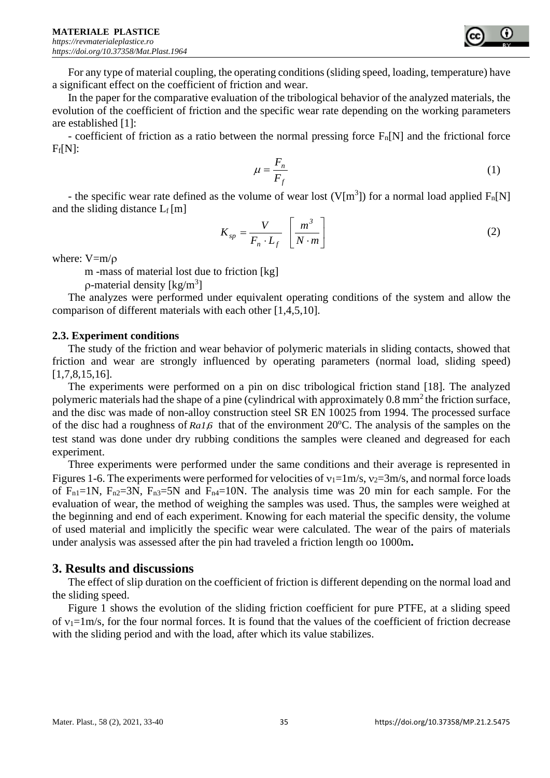

For any type of material coupling, the operating conditions (sliding speed, loading, temperature) have a significant effect on the coefficient of friction and wear.

In the paper for the comparative evaluation of the tribological behavior of the analyzed materials, the evolution of the coefficient of friction and the specific wear rate depending on the working parameters are established [1]:

- coefficient of friction as a ratio between the normal pressing force  $F_n[N]$  and the frictional force  $F_f[N]$ :

$$
\mu = \frac{F_n}{F_f} \tag{1}
$$

- the specific wear rate defined as the volume of wear lost (V[m<sup>3</sup>]) for a normal load applied  $F_n[N]$ and the sliding distance  $L_f[m]$ 

$$
K_{sp} = \frac{V}{F_n \cdot L_f} \left[ \frac{m^3}{N \cdot m} \right] \tag{2}
$$

where:  $V= m/o$ 

m -mass of material lost due to friction [kg]

 $\rho$ -material density [kg/m<sup>3</sup>]

The analyzes were performed under equivalent operating conditions of the system and allow the comparison of different materials with each other [1,4,5,10].

#### **2.3. Experiment conditions**

The study of the friction and wear behavior of polymeric materials in sliding contacts, showed that friction and wear are strongly influenced by operating parameters (normal load, sliding speed) [1,7,8,15,16].

The experiments were performed on a pin on disc tribological friction stand [18]. The analyzed polymeric materials had the shape of a pine (cylindrical with approximately 0.8 mm<sup>2</sup> the friction surface, and the disc was made of non-alloy construction steel SR EN 10025 from 1994. The processed surface of the disc had a roughness of Ra1,6 that of the environment 20°C. The analysis of the samples on the test stand was done under dry rubbing conditions the samples were cleaned and degreased for each experiment.

Three experiments were performed under the same conditions and their average is represented in Figures 1-6. The experiments were performed for velocities of  $v_1=1$ m/s,  $v_2=3$ m/s, and normal force loads of  $F_{n1}=1N$ ,  $F_{n2}=3N$ ,  $F_{n3}=5N$  and  $F_{n4}=10N$ . The analysis time was 20 min for each sample. For the evaluation of wear, the method of weighing the samples was used. Thus, the samples were weighed at the beginning and end of each experiment. Knowing for each material the specific density, the volume of used material and implicitly the specific wear were calculated. The wear of the pairs of materials under analysis was assessed after the pin had traveled a friction length oo 1000m**.**

## **3. Results and discussions**

The effect of slip duration on the coefficient of friction is different depending on the normal load and the sliding speed.

Figure 1 shows the evolution of the sliding friction coefficient for pure PTFE, at a sliding speed of  $v_1=1$ m/s, for the four normal forces. It is found that the values of the coefficient of friction decrease with the sliding period and with the load, after which its value stabilizes.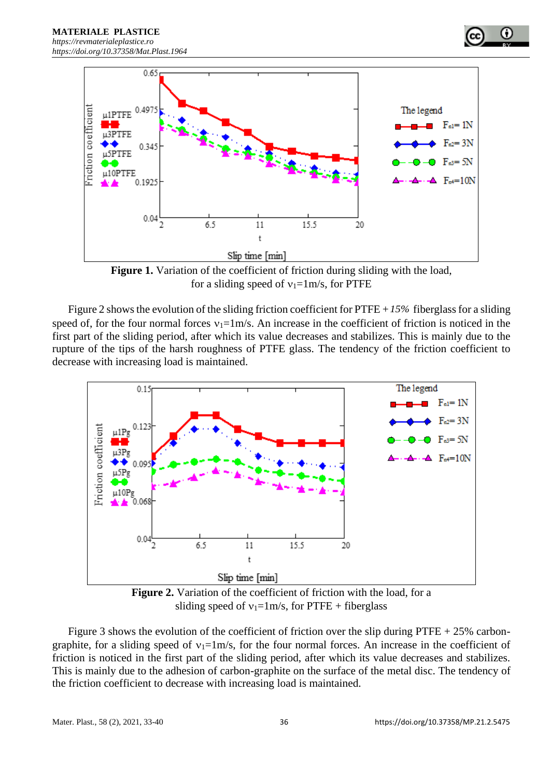



**Figure 1.** Variation of the coefficient of friction during sliding with the load, for a sliding speed of  $v_1=1 \text{ m/s}$ , for PTFE

Figure 2 shows the evolution of the sliding friction coefficient for  $\text{PTFE} + 15\%$  fiberglass for a sliding speed of, for the four normal forces  $v_1=1$ m/s. An increase in the coefficient of friction is noticed in the first part of the sliding period, after which its value decreases and stabilizes. This is mainly due to the rupture of the tips of the harsh roughness of PTFE glass. The tendency of the friction coefficient to decrease with increasing load is maintained.



**Figure 2.** Variation of the coefficient of friction with the load, for a sliding speed of  $v_1=1$ m/s, for PTFE + fiberglass

Figure 3 shows the evolution of the coefficient of friction over the slip during PTFE  $+ 25\%$  carbongraphite, for a sliding speed of  $v_1=1\,\text{m/s}$ , for the four normal forces. An increase in the coefficient of friction is noticed in the first part of the sliding period, after which its value decreases and stabilizes. This is mainly due to the adhesion of carbon-graphite on the surface of the metal disc. The tendency of the friction coefficient to decrease with increasing load is maintained.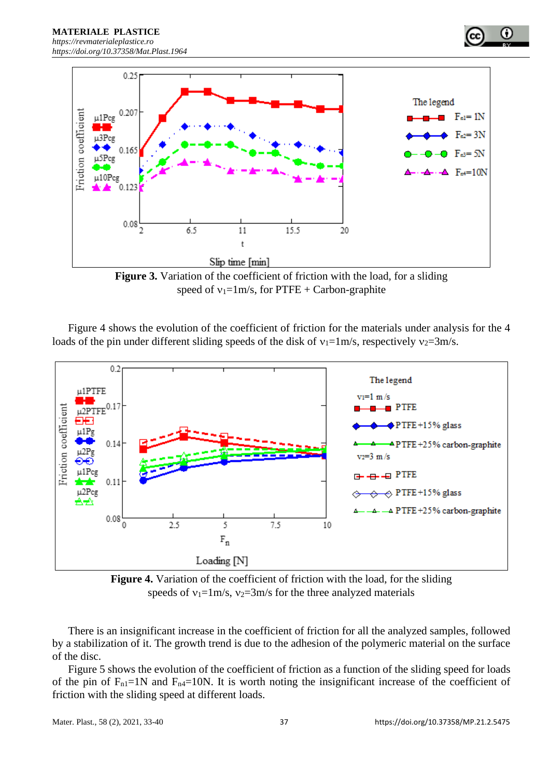

**Figure 3.** Variation of the coefficient of friction with the load, for a sliding speed of  $v_1=1$ m/s, for PTFE + Carbon-graphite

Figure 4 shows the evolution of the coefficient of friction for the materials under analysis for the 4 loads of the pin under different sliding speeds of the disk of  $v_1=1 \text{ m/s}$ , respectively  $v_2=3 \text{ m/s}$ .



**Figure 4.** Variation of the coefficient of friction with the load, for the sliding speeds of  $v_1=1$ m/s,  $v_2=3$ m/s for the three analyzed materials

There is an insignificant increase in the coefficient of friction for all the analyzed samples, followed by a stabilization of it. The growth trend is due to the adhesion of the polymeric material on the surface of the disc.

Figure 5 shows the evolution of the coefficient of friction as a function of the sliding speed for loads of the pin of  $F_{n1}=1N$  and  $F_{n4}=10N$ . It is worth noting the insignificant increase of the coefficient of friction with the sliding speed at different loads.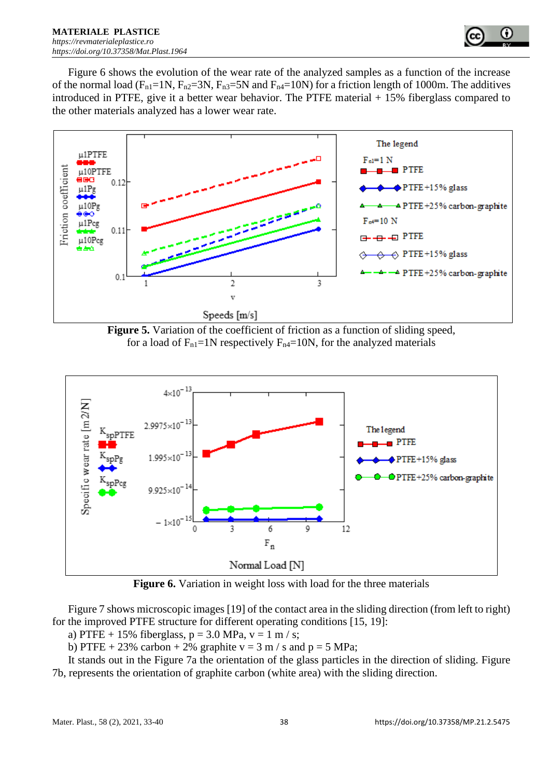

Figure 6 shows the evolution of the wear rate of the analyzed samples as a function of the increase of the normal load ( $F_{n1}=1N$ ,  $F_{n2}=3N$ ,  $F_{n3}=5N$  and  $F_{n4}=10N$ ) for a friction length of 1000m. The additives introduced in PTFE, give it a better wear behavior. The PTFE material  $+15\%$  fiberglass compared to the other materials analyzed has a lower wear rate.



**Figure 5.** Variation of the coefficient of friction as a function of sliding speed, for a load of  $F_{n1}=1N$  respectively  $F_{n4}=10N$ , for the analyzed materials



**Figure 6.** Variation in weight loss with load for the three materials

Figure 7 shows microscopic images [19] of the contact area in the sliding direction (from left to right) for the improved PTFE structure for different operating conditions [15, 19]:

a) PTFE + 15% fiberglass,  $p = 3.0$  MPa,  $v = 1$  m / s;

b) PTFE + 23% carbon + 2% graphite  $v = 3$  m / s and  $p = 5$  MPa;

It stands out in the Figure 7a the orientation of the glass particles in the direction of sliding. Figure 7b, represents the orientation of graphite carbon (white area) with the sliding direction.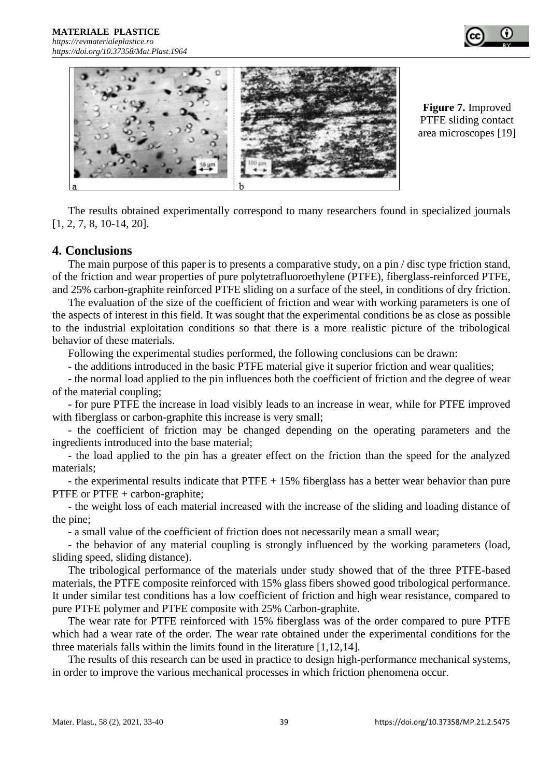



**Figure 7.** Improved PTFE sliding contact area microscopes [19]

The results obtained experimentally correspond to many researchers found in specialized journals [1, 2, 7, 8, 10-14, 20].

### **4. Conclusions**

The main purpose of this paper is to presents a comparative study, on a pin / disc type friction stand, of the friction and wear properties of pure polytetrafluoroethylene (PTFE), fiberglass-reinforced PTFE, and 25% carbon-graphite reinforced PTFE sliding on a surface of the steel, in conditions of dry friction.

The evaluation of the size of the coefficient of friction and wear with working parameters is one of the aspects of interest in this field. It was sought that the experimental conditions be as close as possible to the industrial exploitation conditions so that there is a more realistic picture of the tribological behavior of these materials.

Following the experimental studies performed, the following conclusions can be drawn:

- the additions introduced in the basic PTFE material give it superior friction and wear qualities;

- the normal load applied to the pin influences both the coefficient of friction and the degree of wear of the material coupling;

- for pure PTFE the increase in load visibly leads to an increase in wear, while for PTFE improved with fiberglass or carbon-graphite this increase is very small;

- the coefficient of friction may be changed depending on the operating parameters and the ingredients introduced into the base material;

- the load applied to the pin has a greater effect on the friction than the speed for the analyzed materials;

- the experimental results indicate that  $PTFE + 15\%$  fiberglass has a better wear behavior than pure PTFE or PTFE + carbon-graphite;

- the weight loss of each material increased with the increase of the sliding and loading distance of the pine;

- a small value of the coefficient of friction does not necessarily mean a small wear;

- the behavior of any material coupling is strongly influenced by the working parameters (load, sliding speed, sliding distance).

The tribological performance of the materials under study showed that of the three PTFE-based materials, the PTFE composite reinforced with 15% glass fibers showed good tribological performance. It under similar test conditions has a low coefficient of friction and high wear resistance, compared to pure PTFE polymer and PTFE composite with 25% Carbon-graphite.

The wear rate for PTFE reinforced with 15% fiberglass was of the order compared to pure PTFE which had a wear rate of the order. The wear rate obtained under the experimental conditions for the three materials falls within the limits found in the literature [1,12,14].

The results of this research can be used in practice to design high-performance mechanical systems, in order to improve the various mechanical processes in which friction phenomena occur.